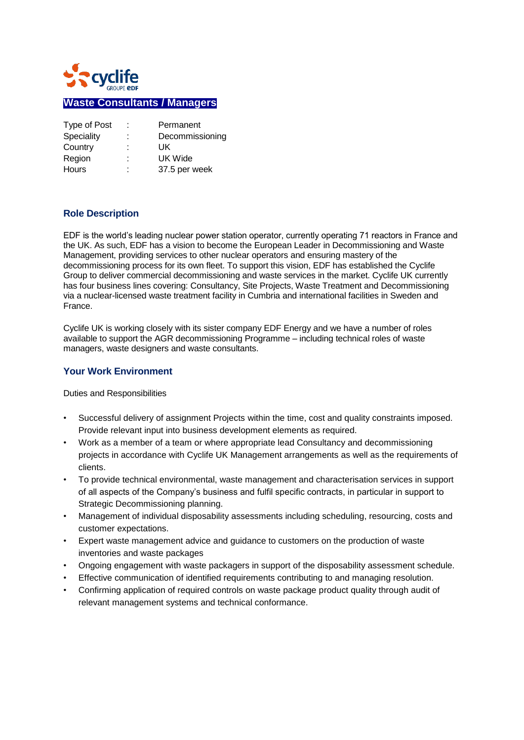

# **Waste Consultants / Managers**

| Type of Post | t.     | Permanent       |
|--------------|--------|-----------------|
| Speciality   | ÷      | Decommissioning |
| Country      | ٠<br>۰ | UK              |
| Region       | ٠      | UK Wide         |
| <b>Hours</b> | ٠<br>۰ | 37.5 per week   |

## **Role Description**

EDF is the world's leading nuclear power station operator, currently operating 71 reactors in France and the UK. As such, EDF has a vision to become the European Leader in Decommissioning and Waste Management, providing services to other nuclear operators and ensuring mastery of the decommissioning process for its own fleet. To support this vision, EDF has established the Cyclife Group to deliver commercial decommissioning and waste services in the market. Cyclife UK currently has four business lines covering: Consultancy, Site Projects, Waste Treatment and Decommissioning via a nuclear-licensed waste treatment facility in Cumbria and international facilities in Sweden and France.

Cyclife UK is working closely with its sister company EDF Energy and we have a number of roles available to support the AGR decommissioning Programme – including technical roles of waste managers, waste designers and waste consultants.

#### **Your Work Environment**

Duties and Responsibilities

- Successful delivery of assignment Projects within the time, cost and quality constraints imposed. Provide relevant input into business development elements as required.
- Work as a member of a team or where appropriate lead Consultancy and decommissioning projects in accordance with Cyclife UK Management arrangements as well as the requirements of clients.
- To provide technical environmental, waste management and characterisation services in support of all aspects of the Company's business and fulfil specific contracts, in particular in support to Strategic Decommissioning planning.
- Management of individual disposability assessments including scheduling, resourcing, costs and customer expectations.
- Expert waste management advice and guidance to customers on the production of waste inventories and waste packages
- Ongoing engagement with waste packagers in support of the disposability assessment schedule.
- Effective communication of identified requirements contributing to and managing resolution.
- Confirming application of required controls on waste package product quality through audit of relevant management systems and technical conformance.